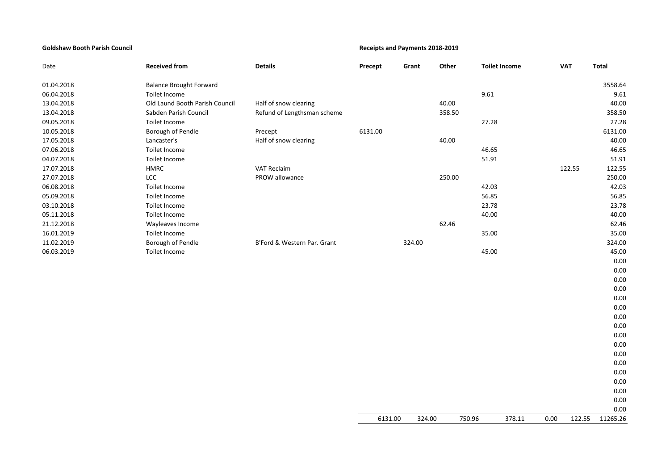## **Goldshaw Booth Parish Council Receipts and Payments 2018-2019**

| Date       | <b>Received from</b>           | <b>Details</b>              | Precept | Grant  | Other  | <b>Toilet Income</b> |                | <b>VAT</b> | <b>Total</b> |
|------------|--------------------------------|-----------------------------|---------|--------|--------|----------------------|----------------|------------|--------------|
| 01.04.2018 | <b>Balance Brought Forward</b> |                             |         |        |        |                      |                |            | 3558.64      |
| 06.04.2018 | Toilet Income                  |                             |         |        |        | 9.61                 |                |            | 9.61         |
| 13.04.2018 | Old Laund Booth Parish Council | Half of snow clearing       |         |        | 40.00  |                      |                |            | 40.00        |
| 13.04.2018 | Sabden Parish Council          | Refund of Lengthsman scheme |         |        | 358.50 |                      |                |            | 358.50       |
| 09.05.2018 | Toilet Income                  |                             |         |        |        | 27.28                |                |            | 27.28        |
| 10.05.2018 | Borough of Pendle              | Precept                     | 6131.00 |        |        |                      |                |            | 6131.00      |
| 17.05.2018 | Lancaster's                    | Half of snow clearing       |         |        | 40.00  |                      |                |            | 40.00        |
| 07.06.2018 | Toilet Income                  |                             |         |        |        | 46.65                |                |            | 46.65        |
| 04.07.2018 | Toilet Income                  |                             |         |        |        | 51.91                |                |            | 51.91        |
| 17.07.2018 | HMRC                           | <b>VAT Reclaim</b>          |         |        |        |                      |                | 122.55     | 122.55       |
| 27.07.2018 | LCC                            | PROW allowance              |         |        | 250.00 |                      |                |            | 250.00       |
| 06.08.2018 | Toilet Income                  |                             |         |        |        | 42.03                |                |            | 42.03        |
| 05.09.2018 | Toilet Income                  |                             |         |        |        | 56.85                |                |            | 56.85        |
| 03.10.2018 | Toilet Income                  |                             |         |        |        | 23.78                |                |            | 23.78        |
| 05.11.2018 | Toilet Income                  |                             |         |        |        | 40.00                |                |            | 40.00        |
| 21.12.2018 | Wayleaves Income               |                             |         |        | 62.46  |                      |                |            | 62.46        |
| 16.01.2019 | Toilet Income                  |                             |         |        |        | 35.00                |                |            | 35.00        |
| 11.02.2019 | Borough of Pendle              | B'Ford & Western Par. Grant |         | 324.00 |        |                      |                |            | 324.00       |
| 06.03.2019 | Toilet Income                  |                             |         |        |        | 45.00                |                |            | 45.00        |
|            |                                |                             |         |        |        |                      |                |            | 0.00         |
|            |                                |                             |         |        |        |                      |                |            | 0.00         |
|            |                                |                             |         |        |        |                      |                |            | 0.00         |
|            |                                |                             |         |        |        |                      |                |            | 0.00         |
|            |                                |                             |         |        |        |                      |                |            | 0.00         |
|            |                                |                             |         |        |        |                      |                |            | 0.00         |
|            |                                |                             |         |        |        |                      |                |            | 0.00         |
|            |                                |                             |         |        |        |                      |                |            | 0.00         |
|            |                                |                             |         |        |        |                      |                |            | 0.00         |
|            |                                |                             |         |        |        |                      |                |            | 0.00         |
|            |                                |                             |         |        |        |                      |                |            | 0.00         |
|            |                                |                             |         |        |        |                      |                |            | 0.00         |
|            |                                |                             |         |        |        |                      |                |            | 0.00         |
|            |                                |                             |         |        |        |                      |                |            | 0.00         |
|            |                                |                             |         |        |        |                      |                |            | 0.00         |
|            |                                |                             |         |        |        |                      |                |            | 0.00         |
|            |                                |                             |         |        |        |                      |                |            | 0.00         |
|            |                                |                             | 6131.00 | 324.00 | 750.96 |                      | 378.11<br>0.00 | 122.55     | 11265.26     |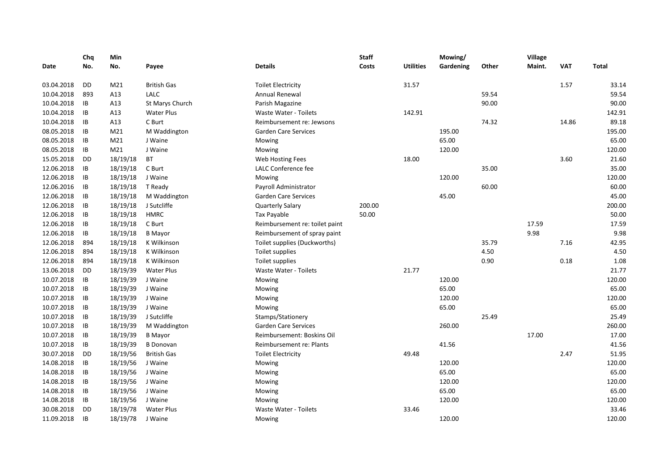|            | Chq       | Min             |                    |                                | <b>Staff</b> |                  | Mowing/   |       | Village |            |              |
|------------|-----------|-----------------|--------------------|--------------------------------|--------------|------------------|-----------|-------|---------|------------|--------------|
| Date       | No.       | No.             | Payee              | <b>Details</b>                 | Costs        | <b>Utilities</b> | Gardening | Other | Maint.  | <b>VAT</b> | <b>Total</b> |
| 03.04.2018 | DD        | M <sub>21</sub> | <b>British Gas</b> | <b>Toilet Electricity</b>      |              | 31.57            |           |       |         | 1.57       | 33.14        |
| 10.04.2018 | 893       | A13             | <b>LALC</b>        | Annual Renewal                 |              |                  |           | 59.54 |         |            | 59.54        |
| 10.04.2018 | IB        | A13             | St Marys Church    | Parish Magazine                |              |                  |           | 90.00 |         |            | 90.00        |
| 10.04.2018 | IB        | A13             | <b>Water Plus</b>  | <b>Waste Water - Toilets</b>   |              | 142.91           |           |       |         |            | 142.91       |
| 10.04.2018 | IB        | A13             | C Burt             | Reimbursement re: Jewsons      |              |                  |           | 74.32 |         | 14.86      | 89.18        |
| 08.05.2018 | IB        | M21             | M Waddington       | <b>Garden Care Services</b>    |              |                  | 195.00    |       |         |            | 195.00       |
| 08.05.2018 | IB        | M21             | J Waine            | Mowing                         |              |                  | 65.00     |       |         |            | 65.00        |
| 08.05.2018 | IB        | M21             | J Waine            | Mowing                         |              |                  | 120.00    |       |         |            | 120.00       |
| 15.05.2018 | DD        | 18/19/18        | <b>BT</b>          | Web Hosting Fees               |              | 18.00            |           |       |         | 3.60       | 21.60        |
| 12.06.2018 | IB        | 18/19/18        | C Burt             | LALC Conference fee            |              |                  |           | 35.00 |         |            | 35.00        |
| 12.06.2018 | IB        | 18/19/18        | J Waine            | Mowing                         |              |                  | 120.00    |       |         |            | 120.00       |
| 12.06.2016 | IB        | 18/19/18        | T Ready            | Payroll Administrator          |              |                  |           | 60.00 |         |            | 60.00        |
| 12.06.2018 | IB        | 18/19/18        | M Waddington       | <b>Garden Care Services</b>    |              |                  | 45.00     |       |         |            | 45.00        |
| 12.06.2018 | IB        | 18/19/18        | J Sutcliffe        | <b>Quarterly Salary</b>        | 200.00       |                  |           |       |         |            | 200.00       |
| 12.06.2018 | IB        | 18/19/18        | <b>HMRC</b>        | Tax Payable                    | 50.00        |                  |           |       |         |            | 50.00        |
| 12.06.2018 | IB        | 18/19/18        | C Burt             | Reimbursement re: toilet paint |              |                  |           |       | 17.59   |            | 17.59        |
| 12.06.2018 | IB        | 18/19/18        | <b>B</b> Mayor     | Reimbursement of spray paint   |              |                  |           |       | 9.98    |            | 9.98         |
| 12.06.2018 | 894       | 18/19/18        | K Wilkinson        | Toilet supplies (Duckworths)   |              |                  |           | 35.79 |         | 7.16       | 42.95        |
| 12.06.2018 | 894       | 18/19/18        | K Wilkinson        | Toilet supplies                |              |                  |           | 4.50  |         |            | 4.50         |
| 12.06.2018 | 894       | 18/19/18        | K Wilkinson        | Toilet supplies                |              |                  |           | 0.90  |         | 0.18       | 1.08         |
| 13.06.2018 | DD        | 18/19/39        | <b>Water Plus</b>  | <b>Waste Water - Toilets</b>   |              | 21.77            |           |       |         |            | 21.77        |
| 10.07.2018 | IB        | 18/19/39        | J Waine            | Mowing                         |              |                  | 120.00    |       |         |            | 120.00       |
| 10.07.2018 | IB        | 18/19/39        | J Waine            | Mowing                         |              |                  | 65.00     |       |         |            | 65.00        |
| 10.07.2018 | IB        | 18/19/39        | J Waine            | Mowing                         |              |                  | 120.00    |       |         |            | 120.00       |
| 10.07.2018 | IB        | 18/19/39        | J Waine            | Mowing                         |              |                  | 65.00     |       |         |            | 65.00        |
| 10.07.2018 | IB        | 18/19/39        | J Sutcliffe        | Stamps/Stationery              |              |                  |           | 25.49 |         |            | 25.49        |
| 10.07.2018 | IB        | 18/19/39        | M Waddington       | <b>Garden Care Services</b>    |              |                  | 260.00    |       |         |            | 260.00       |
| 10.07.2018 | IB        | 18/19/39        | <b>B</b> Mayor     | Reimbursement: Boskins Oil     |              |                  |           |       | 17.00   |            | 17.00        |
| 10.07.2018 | IB        | 18/19/39        | <b>B</b> Donovan   | Reimbursement re: Plants       |              |                  | 41.56     |       |         |            | 41.56        |
| 30.07.2018 | DD        | 18/19/56        | <b>British Gas</b> | <b>Toilet Electricity</b>      |              | 49.48            |           |       |         | 2.47       | 51.95        |
| 14.08.2018 | IB        | 18/19/56        | J Waine            | Mowing                         |              |                  | 120.00    |       |         |            | 120.00       |
| 14.08.2018 | IB        | 18/19/56        | J Waine            | Mowing                         |              |                  | 65.00     |       |         |            | 65.00        |
| 14.08.2018 | IB        | 18/19/56        | J Waine            | Mowing                         |              |                  | 120.00    |       |         |            | 120.00       |
| 14.08.2018 | IB        | 18/19/56        | J Waine            | Mowing                         |              |                  | 65.00     |       |         |            | 65.00        |
| 14.08.2018 | IB        | 18/19/56        | J Waine            | Mowing                         |              |                  | 120.00    |       |         |            | 120.00       |
| 30.08.2018 | <b>DD</b> | 18/19/78        | <b>Water Plus</b>  | Waste Water - Toilets          |              | 33.46            |           |       |         |            | 33.46        |
| 11.09.2018 | IB        | 18/19/78        | J Waine            | Mowing                         |              |                  | 120.00    |       |         |            | 120.00       |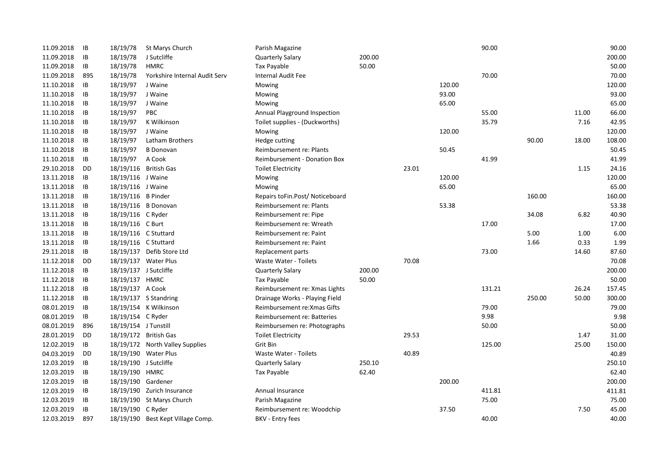| 11.09.2018 | IB        | 18/19/78              | St Marys Church                   | Parish Magazine                     |        |       |        | 90.00  |        |       | 90.00  |
|------------|-----------|-----------------------|-----------------------------------|-------------------------------------|--------|-------|--------|--------|--------|-------|--------|
| 11.09.2018 | IB        | 18/19/78              | J Sutcliffe                       | Quarterly Salary                    | 200.00 |       |        |        |        |       | 200.00 |
| 11.09.2018 | IB        | 18/19/78              | <b>HMRC</b>                       | <b>Tax Payable</b>                  | 50.00  |       |        |        |        |       | 50.00  |
| 11.09.2018 | 895       | 18/19/78              | Yorkshire Internal Audit Serv     | <b>Internal Audit Fee</b>           |        |       |        | 70.00  |        |       | 70.00  |
| 11.10.2018 | IB        | 18/19/97              | J Waine                           | Mowing                              |        |       | 120.00 |        |        |       | 120.00 |
| 11.10.2018 | IB        | 18/19/97              | J Waine                           | Mowing                              |        |       | 93.00  |        |        |       | 93.00  |
| 11.10.2018 | IB        | 18/19/97              | J Waine                           | Mowing                              |        |       | 65.00  |        |        |       | 65.00  |
| 11.10.2018 | IB        | 18/19/97              | PBC                               | Annual Playground Inspection        |        |       |        | 55.00  |        | 11.00 | 66.00  |
| 11.10.2018 | IB        | 18/19/97              | K Wilkinson                       | Toilet supplies - (Duckworths)      |        |       |        | 35.79  |        | 7.16  | 42.95  |
| 11.10.2018 | IB        | 18/19/97              | J Waine                           | Mowing                              |        |       | 120.00 |        |        |       | 120.00 |
| 11.10.2018 | IB        | 18/19/97              | Latham Brothers                   | Hedge cutting                       |        |       |        |        | 90.00  | 18.00 | 108.00 |
| 11.10.2018 | IB        | 18/19/97              | <b>B</b> Donovan                  | Reimbursement re: Plants            |        |       | 50.45  |        |        |       | 50.45  |
| 11.10.2018 | IB        | 18/19/97              | A Cook                            | <b>Reimbursement - Donation Box</b> |        |       |        | 41.99  |        |       | 41.99  |
| 29.10.2018 | <b>DD</b> |                       | 18/19/116 British Gas             | <b>Toilet Electricity</b>           |        | 23.01 |        |        |        | 1.15  | 24.16  |
| 13.11.2018 | IB        | 18/19/116 J Waine     |                                   | Mowing                              |        |       | 120.00 |        |        |       | 120.00 |
| 13.11.2018 | IB        | 18/19/116 J Waine     |                                   | Mowing                              |        |       | 65.00  |        |        |       | 65.00  |
| 13.11.2018 | IB        | 18/19/116 B Pinder    |                                   | Repairs to Fin. Post/Notice board   |        |       |        |        | 160.00 |       | 160.00 |
| 13.11.2018 | IB        |                       | 18/19/116 B Donovan               | Reimbursement re: Plants            |        |       | 53.38  |        |        |       | 53.38  |
| 13.11.2018 | IB        | 18/19/116 C Ryder     |                                   | Reimbursement re: Pipe              |        |       |        |        | 34.08  | 6.82  | 40.90  |
| 13.11.2018 | IB        | 18/19/116 C Burt      |                                   | Reimbursement re: Wreath            |        |       |        | 17.00  |        |       | 17.00  |
| 13.11.2018 | IB        | 18/19/116 C Stuttard  |                                   | Reimbursement re: Paint             |        |       |        |        | 5.00   | 1.00  | 6.00   |
| 13.11.2018 | IB        | 18/19/116 C Stuttard  |                                   | Reimbursement re: Paint             |        |       |        |        | 1.66   | 0.33  | 1.99   |
| 29.11.2018 | IB        |                       | 18/19/137 Defib Store Ltd         | Replacement parts                   |        |       |        | 73.00  |        | 14.60 | 87.60  |
| 11.12.2018 | DD        |                       | 18/19/137 Water Plus              | <b>Waste Water - Toilets</b>        |        | 70.08 |        |        |        |       | 70.08  |
| 11.12.2018 | IB        | 18/19/137 J Sutcliffe |                                   | Quarterly Salary                    | 200.00 |       |        |        |        |       | 200.00 |
| 11.12.2018 | IB        | 18/19/137 HMRC        |                                   | Tax Payable                         | 50.00  |       |        |        |        |       | 50.00  |
| 11.12.2018 | IB        | 18/19/137 A Cook      |                                   | Reimbursement re: Xmas Lights       |        |       |        | 131.21 |        | 26.24 | 157.45 |
| 11.12.2018 | IB        |                       | $18/19/137$ S Standring           | Drainage Works - Playing Field      |        |       |        |        | 250.00 | 50.00 | 300.00 |
| 08.01.2019 | IB        |                       | 18/19/154 K Wilkinson             | Reimbursement re: Xmas Gifts        |        |       |        | 79.00  |        |       | 79.00  |
| 08.01.2019 | IB        | 18/19/154 C Ryder     |                                   | Reimbursement re: Batteries         |        |       |        | 9.98   |        |       | 9.98   |
| 08.01.2019 | 896       | 18/19/154 J Tunstill  |                                   | Reimbursemen re: Photographs        |        |       |        | 50.00  |        |       | 50.00  |
| 28.01.2019 | DD        |                       | 18/19/172 British Gas             | <b>Toilet Electricity</b>           |        | 29.53 |        |        |        | 1.47  | 31.00  |
| 12.02.2019 | <b>IB</b> |                       | 18/19/172 North Valley Supplies   | Grit Bin                            |        |       |        | 125.00 |        | 25.00 | 150.00 |
| 04.03.2019 | DD        |                       | 18/19/190 Water Plus              | <b>Waste Water - Toilets</b>        |        | 40.89 |        |        |        |       | 40.89  |
| 12.03.2019 | IB        | 18/19/190 J Sutcliffe |                                   | Quarterly Salary                    | 250.10 |       |        |        |        |       | 250.10 |
| 12.03.2019 | IB        | 18/19/190 HMRC        |                                   | Tax Payable                         | 62.40  |       |        |        |        |       | 62.40  |
| 12.03.2019 | IB        | 18/19/190 Gardener    |                                   |                                     |        |       | 200.00 |        |        |       | 200.00 |
| 12.03.2019 | IB        |                       | 18/19/190 Zurich Insurance        | Annual Insurance                    |        |       |        | 411.81 |        |       | 411.81 |
| 12.03.2019 | IB        |                       | 18/19/190 St Marys Church         | Parish Magazine                     |        |       |        | 75.00  |        |       | 75.00  |
| 12.03.2019 | <b>IB</b> | 18/19/190 C Ryder     |                                   | Reimbursement re: Woodchip          |        |       | 37.50  |        |        | 7.50  | 45.00  |
| 12.03.2019 | 897       |                       | 18/19/190 Best Kept Village Comp. | <b>BKV</b> - Entry fees             |        |       |        | 40.00  |        |       | 40.00  |